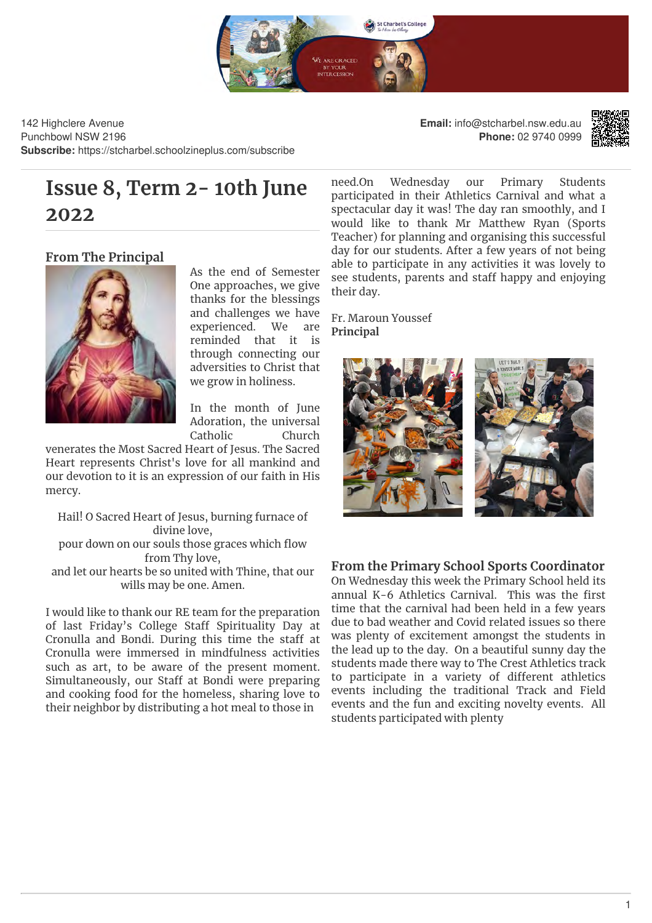

142 Highclere Avenue Punchbowl NSW 2196 **Subscribe:** https://stcharbel.schoolzineplus.com/subscribe **Email:** info@stcharbel.nsw.edu.au **Phone:** 02 9740 0999



# **Issue 8, Term 2-10th June** need.On **2022**

# **From The Principal**



As the end of Semester One approaches, we give thanks for the blessings and challenges we have experienced. We are reminded that it is through connecting our adversities to Christ that we grow in holiness.

In the month of June Adoration, the universal Catholic Church

venerates the Most Sacred Heart of Jesus. The Sacred Heart represents Christ's love for all mankind and our devotion to it is an expression of our faith in His mercy.

Hail! O Sacred Heart of Jesus, burning furnace of divine love, pour down on our souls those graces which flow

from Thy love,

and let our hearts be so united with Thine, that our wills may be one. Amen.

I would like to thank our RE team for the preparation of last Friday's College Staff Spirituality Day at Cronulla and Bondi. During this time the staff at Cronulla were immersed in mindfulness activities such as art, to be aware of the present moment. Simultaneously, our Staff at Bondi were preparing and cooking food for the homeless, sharing love to their neighbor by distributing a hot meal to those in

Wednesday our Primary Students participated in their Athletics Carnival and what a spectacular day it was! The day ran smoothly, and I would like to thank Mr Matthew Ryan (Sports Teacher) for planning and organising this successful day for our students. After a few years of not being able to participate in any activities it was lovely to see students, parents and staff happy and enjoying their day.

Fr. Maroun Youssef **Principal**



# **From the Primary School Sports Coordinator**

On Wednesday this week the Primary School held its annual K-6 Athletics Carnival. This was the first time that the carnival had been held in a few years due to bad weather and Covid related issues so there was plenty of excitement amongst the students in the lead up to the day. On a beautiful sunny day the students made there way to The Crest Athletics track to participate in a variety of different athletics events including the traditional Track and Field events and the fun and exciting novelty events. All students participated with plenty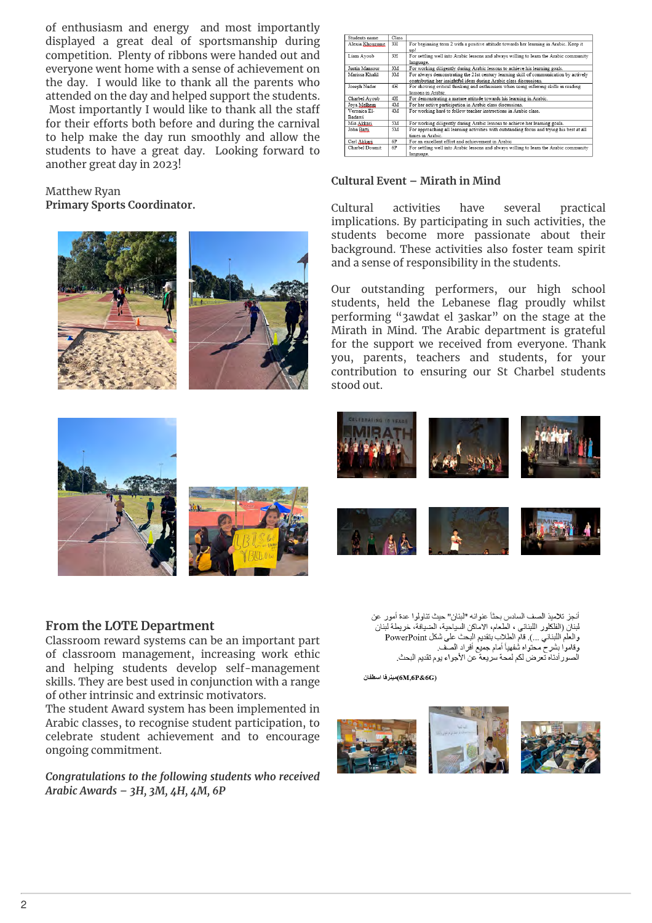of enthusiasm and energy and most importantly displayed a great deal of sportsmanship during competition. Plenty of ribbons were handed out and everyone went home with a sense of achievement on the day. I would like to thank all the parents who attended on the day and helped support the students. Most importantly I would like to thank all the staff for their efforts both before and during the carnival to help make the day run smoothly and allow the students to have a great day. Looking forward to another great day in 2023!

#### Matthew Ryan **Primary Sports Coordinator.**



| Students name          | Class |                                                                                                                                                             |
|------------------------|-------|-------------------------------------------------------------------------------------------------------------------------------------------------------------|
| Alexia Khouzame        | 3H    | For beginning term 2 with a positive attitude towards her learning in Arabic. Keep it<br>up!                                                                |
| Liam Ayoub             | 3H    | For settling well into Arabic lessons and always willing to learn the Arabic community<br>language.                                                         |
| Justin Mansour         | 3M    | For working diligently during Arabic lessons to achieve his learning goals.                                                                                 |
| Marissa Khalil         | 3M    | For always demonstrating the 21st century learning skill of communication by actively<br>contributing her insightful ideas during Arabic class discussions. |
| Joseph Nader           | 4H    | For showing critical thinking and enthusiasm when using inferring skills in reading<br>lessons in Arabic.                                                   |
| Charbel Avoub          | 4H    | For demonstrating a mature attitude towards his learning in Arabic.                                                                                         |
| Jova Melhem            | 4M    | For her active participation in Arabic class discussions.                                                                                                   |
| Veronica El-<br>Badawi | 4M    | For working hard to follow teacher instructions in Arabic class.                                                                                            |
| Mia Akkari             | 5M    | For working diligently during Arabic lessons to achieve her learning goals.                                                                                 |
| John Batti             | 5M    | For approaching all learning activities with outstanding focus and trying his best at all<br>times in Arabic.                                               |
| Carl Akkati            | 6P    | For an excellent effort and achievement in Arabic                                                                                                           |
| Charbel Doumit         | 6P    | For settling well into Arabic lessons and always willing to learn the Arabic community<br>language.                                                         |

### **Cultural Event – Mirath in Mind**

Cultural activities have several practical implications. By participating in such activities, the students become more passionate about their background. These activities also foster team spirit and a sense of responsibility in the students.

Our outstanding performers, our high school students, held the Lebanese flag proudly whilst performing "3awdat el 3askar" on the stage at the Mirath in Mind. The Arabic department is grateful for the support we received from everyone. Thank you, parents, teachers and students, for your contribution to ensuring our St Charbel students stood out.





#### **From the LOTE Department**

Classroom reward systems can be an important part of classroom management, increasing work ethic and helping students develop self-management skills. They are best used in conjunction with a range of other intrinsic and extrinsic motivators.

The student Award system has been implemented in Arabic classes, to recognise student participation, to celebrate student achievement and to encourage ongoing commitment.

### *Congratulations to the following students who received Arabic Awards – 3H, 3M, 4H, 4M, 6P*

أنجز تلاميذ الصف السادس بحثاً عنوانه "لبنان" حيث تناولوا عدة أمور عن لبنان (الفلكلور اللبناني ، الطعام، الاماكن السياحية، الضيافة، خريطة لبنان بيتن رئيستون سبب على المستقيم المستقيم المستوسية المستوسمة المستوسطة.<br>والعلم اللبناني ...). قام الطلاب بتقديم البحث على شكل PowerPoint و<br>وقاموا بِشرح محتواه شفهياً أمام جميع أفراد الصف. الصور أدناه تعرض لكم لمحة سريعة عن الأجواء يوم تقديم البحث.

(6M,6P&6G)مينرفا اسطفان

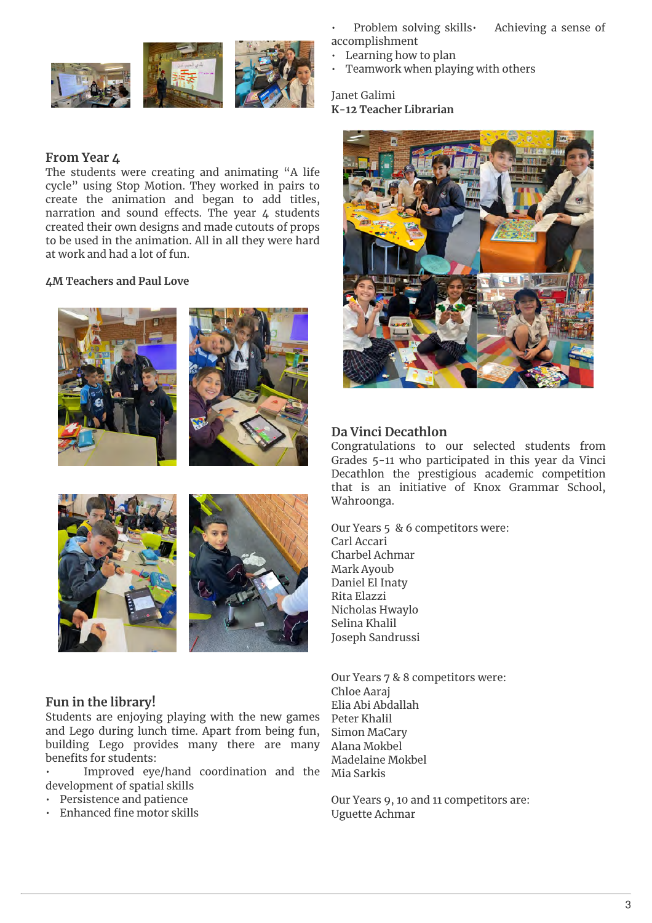

# **From Year 4**

The students were creating and animating "A life cycle" using Stop Motion. They worked in pairs to create the animation and began to add titles, narration and sound effects. The year  $4$  students created their own designs and made cutouts of props to be used in the animation. All in all they were hard at work and had a lot of fun.

#### **4M Teachers and Paul Love**









# **Fun in the library!**

Students are enjoying playing with the new games and Lego during lunch time. Apart from being fun, building Lego provides many there are many benefits for students:

• Improved eye/hand coordination and the development of spatial skills

- Persistence and patience
- Enhanced fine motor skills

Problem solving skills Achieving a sense of accomplishment

- Learning how to plan
- Teamwork when playing with others

Janet Galimi **K-12 Teacher Librarian**



### **Da Vinci Decathlon**

Congratulations to our selected students from Grades 5-11 who participated in this year da Vinci Decathlon the prestigious academic competition that is an initiative of Knox Grammar School, Wahroonga.

Our Years 5 & 6 competitors were: Carl Accari Charbel Achmar Mark Ayoub Daniel El Inaty Rita Elazzi Nicholas Hwaylo Selina Khalil Joseph Sandrussi

Our Years 7 & 8 competitors were: Chloe Aaraj Elia Abi Abdallah Peter Khalil Simon MaCary Alana Mokbel Madelaine Mokbel Mia Sarkis

Our Years 9, 10 and 11 competitors are: Uguette Achmar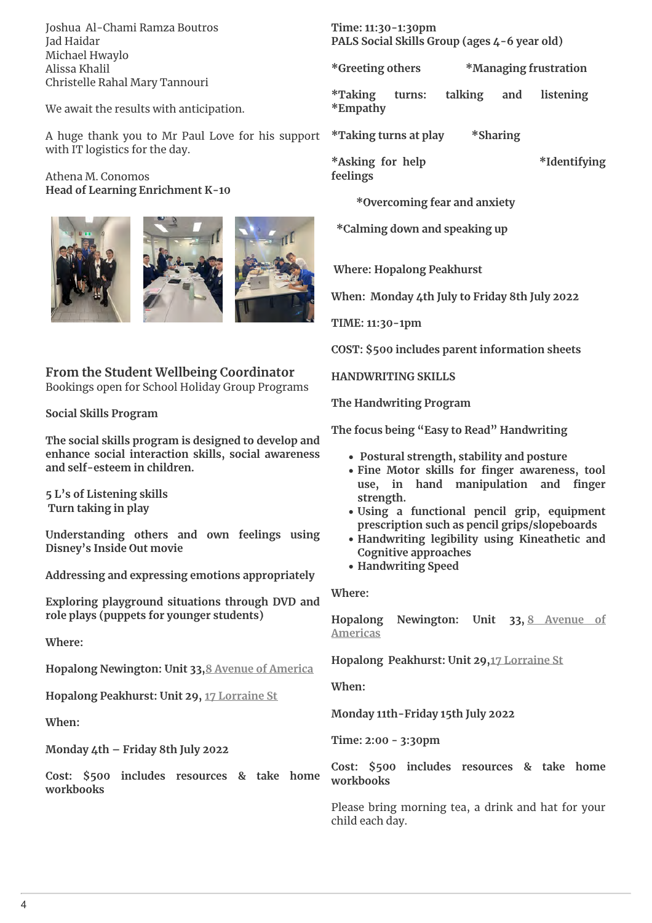Joshua Al-Chami Ramza Boutros Jad Haidar Michael Hwaylo Alissa Khalil Christelle Rahal Mary Tannouri

We await the results with anticipation.

A huge thank you to Mr Paul Love for his support with IT logistics for the day.

#### Athena M. Conomos **Head of Learning Enrichment K-10**







**From the Student Wellbeing Coordinator** Bookings open for School Holiday Group Programs

**Social Skills Program**

**The social skills program is designed to develop and enhance social interaction skills, social awareness and self-esteem in children.**

**5 L's of Listening skills Turn taking in play**

**Understanding others and own feelings using Disney's Inside Out movie** 

**Addressing and expressing emotions appropriately** 

**Exploring playground situations through DVD and role plays (puppets for younger students)** 

**Where:** 

**Hopalong Newington: Unit 33,8 Avenue of America**

**Hopalong Peakhurst: Unit 29, 17 Lorraine St**

**When:**

**Monday 4th – Friday 8th July 2022**

**Cost: \$500 includes resources & take home workbooks**

**Time: 11:30-1:30pm PALS Social Skills Group (ages 4-6 year old)** 

**\*Greeting others \*Managing frustration** 

**\*Taking turns: talking and listening \*Empathy** 

**\*Taking turns at play \*Sharing**

**\*Asking for help \*Identifying feelings** 

 **\*Overcoming fear and anxiety**

 **\*Calming down and speaking up**

 **Where: Hopalong Peakhurst**

**When: Monday 4th July to Friday 8th July 2022**

**TIME: 11:30-1pm**

**COST: \$500 includes parent information sheets**

**HANDWRITING SKILLS**

**The Handwriting Program** 

**The focus being "Easy to Read" Handwriting** 

- **Postural strength, stability and posture**
- Fine Motor skills for finger awareness, tool use, in hand manipulation and finger **strength.**
- **Using a functional pencil grip, equipment prescription such as pencil grips/slopeboards**
- **Handwriting legibility using Kineathetic and Cognitive approaches**
- **Handwriting Speed**

**Where:** 

**Hopalong Newington: Unit 33, 8 Avenue of Americas**

**Hopalong Peakhurst: Unit 29,17 Lorraine St**

**When:**

**Monday 11th-Friday 15th July 2022**

**Time: 2:00 - 3:30pm**

**Cost: \$500 includes resources & take home workbooks**

Please bring morning tea, a drink and hat for your child each day.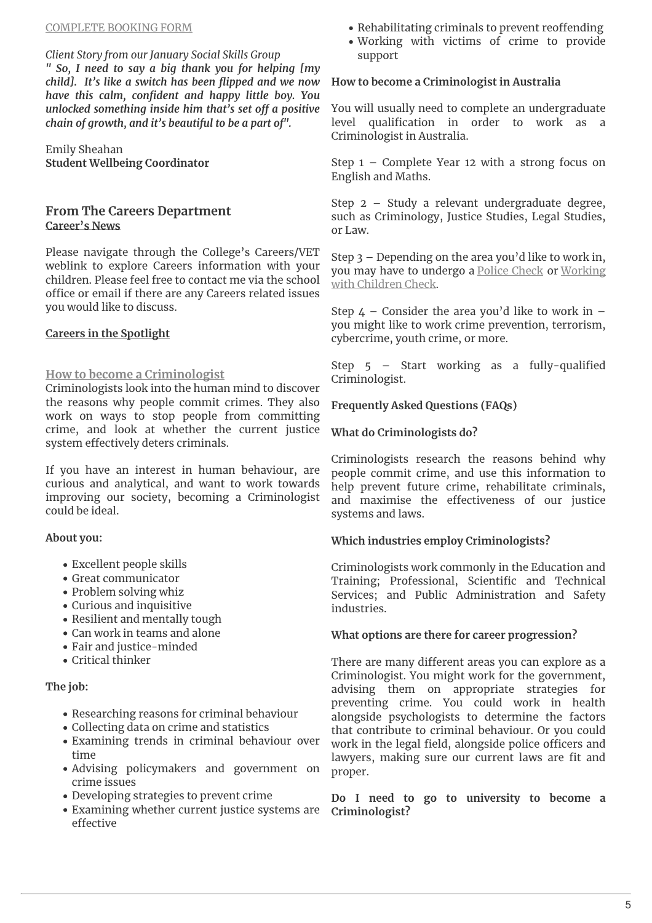*Client Story from our January Social Skills Group*

*" So, I need to say a big thank you for helping [my child].* It's like a switch has been flipped and we now *have this calm, con\*dent and happy little boy. You unlocked something inside him that's set off a positive chain of growth, and it's beautiful to be a part of".* 

Emily Sheahan **Student Wellbeing Coordinator**

# **From The Careers Department Career's News**

Please navigate through the College's Careers/VET weblink to explore Careers information with your children. Please feel free to contact me via the school office or email if there are any Careers related issues you would like to discuss.

#### **Careers in the Spotlight**

### **How to become a Criminologist**

Criminologists look into the human mind to discover the reasons why people commit crimes. They also work on ways to stop people from committing crime, and look at whether the current justice system effectively deters criminals.

If you have an interest in human behaviour, are curious and analytical, and want to work towards improving our society, becoming a Criminologist could be ideal.

#### **About you:**

- Excellent people skills
- Great communicator
- Problem solving whiz
- Curious and inquisitive
- Resilient and mentally tough
- Can work in teams and alone
- Fair and justice-minded
- Critical thinker

#### **The job:**

- Researching reasons for criminal behaviour
- Collecting data on crime and statistics
- Examining trends in criminal behaviour over time
- Advising policymakers and government on crime issues
- Developing strategies to prevent crime
- Examining whether current justice systems are effective
- Rehabilitating criminals to prevent reoffending
- Working with victims of crime to provide support

#### **How to become a Criminologist in Australia**

You will usually need to complete an undergraduate level qualification in order to work as Criminologist in Australia.

Step 1 – Complete Year 12 with a strong focus on English and Maths.

Step 2 – Study a relevant undergraduate degree, such as Criminology, Justice Studies, Legal Studies, or Law.

Step 3 – Depending on the area you'd like to work in, you may have to undergo a Police Check or Working with Children Check.

Step  $4$  – Consider the area you'd like to work in – you might like to work crime prevention, terrorism, cybercrime, youth crime, or more.

Step  $5$  – Start working as a fully-qualified Criminologist.

**Frequently Asked Questions (FAQs)**

### **What do Criminologists do?**

Criminologists research the reasons behind why people commit crime, and use this information to help prevent future crime, rehabilitate criminals, and maximise the effectiveness of our justice systems and laws.

# **Which industries employ Criminologists?**

Criminologists work commonly in the Education and Training; Professional, Scientific and Technical Services; and Public Administration and Safety industries.

# **What options are there for career progression?**

There are many different areas you can explore as a Criminologist. You might work for the government, advising them on appropriate strategies for preventing crime. You could work in health alongside psychologists to determine the factors that contribute to criminal behaviour. Or you could work in the legal field, alongside police officers and lawyers, making sure our current laws are fit and proper.

**Do I need to go to university to become a Criminologist?**